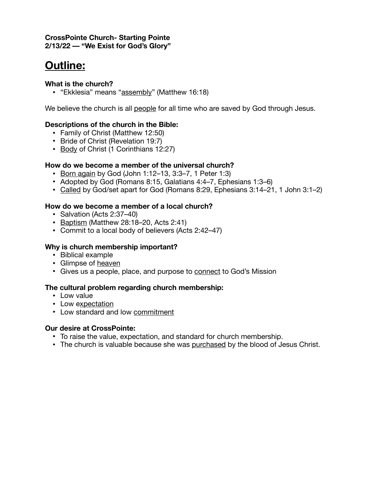#### **CrossPointe Church- Starting Pointe 2/13/22 –– "We Exist for God's Glory"**

# **Outline:**

#### **What is the church?**

**•** "Ekklesia" means "assembly" (Matthew 16:18)

We believe the church is all people for all time who are saved by God through Jesus.

# **Descriptions of the church in the Bible:**

- **•** Family of Christ (Matthew 12:50)
- **•** Bride of Christ (Revelation 19:7)
- **•** Body of Christ (1 Corinthians 12:27)

# **How do we become a member of the universal church?**

- **•** Born again by God (John 1:12–13, 3:3–7, 1 Peter 1:3)
- **•** Adopted by God (Romans 8:15, Galatians 4:4–7, Ephesians 1:3–6)
- **•** Called by God/set apart for God (Romans 8:29, Ephesians 3:14–21, 1 John 3:1–2)

#### **How do we become a member of a local church?**

- **•** Salvation (Acts 2:37–40)
- **•** Baptism (Matthew 28:18–20, Acts 2:41)
- **•** Commit to a local body of believers (Acts 2:42–47)

# **Why is church membership important?**

- **•** Biblical example
- **•** Glimpse of heaven
- Gives us a people, place, and purpose to **connect** to God's Mission

#### **The cultural problem regarding church membership:**

- **•** Low value
- **•** Low expectation
- **•** Low standard and low commitment

#### **Our desire at CrossPointe:**

- **•** To raise the value, expectation, and standard for church membership.
- **•** The church is valuable because she was purchased by the blood of Jesus Christ.